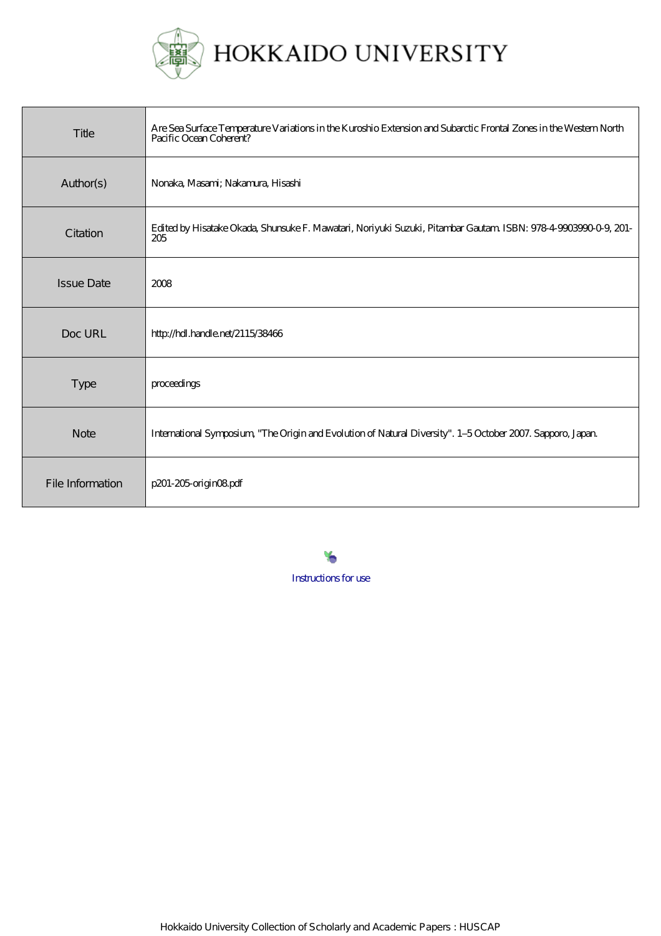

# HOKKAIDO UNIVERSITY

| Title             | Are Sea Surface Temperature Variations in the Kuroshio Extension and Subarctic Frontal Zones in the Western North<br>Pacific Ocean Coherent? |
|-------------------|----------------------------------------------------------------------------------------------------------------------------------------------|
| Author(s)         | Nonaka, Masami; Nakamura, Hisashi                                                                                                            |
| Citation          | Edited by Hisatake Okada, Shunsuke F. Mawatari, Noriyuki Suzuki, Pitambar Gautam ISBN: 978-4-9003990-0-9, 201-<br>205                        |
| <b>Issue Date</b> | 2008                                                                                                                                         |
| Doc URL           | http://hdl.handle.net/2115/38466                                                                                                             |
| <b>Type</b>       | proceedings                                                                                                                                  |
| <b>Note</b>       | International Symposium, "The Origin and Evolution of Natural Diversity". 1-5 October 2007. Sapporo, Japan.                                  |
| File Information  | p201-205 origin08pdf                                                                                                                         |

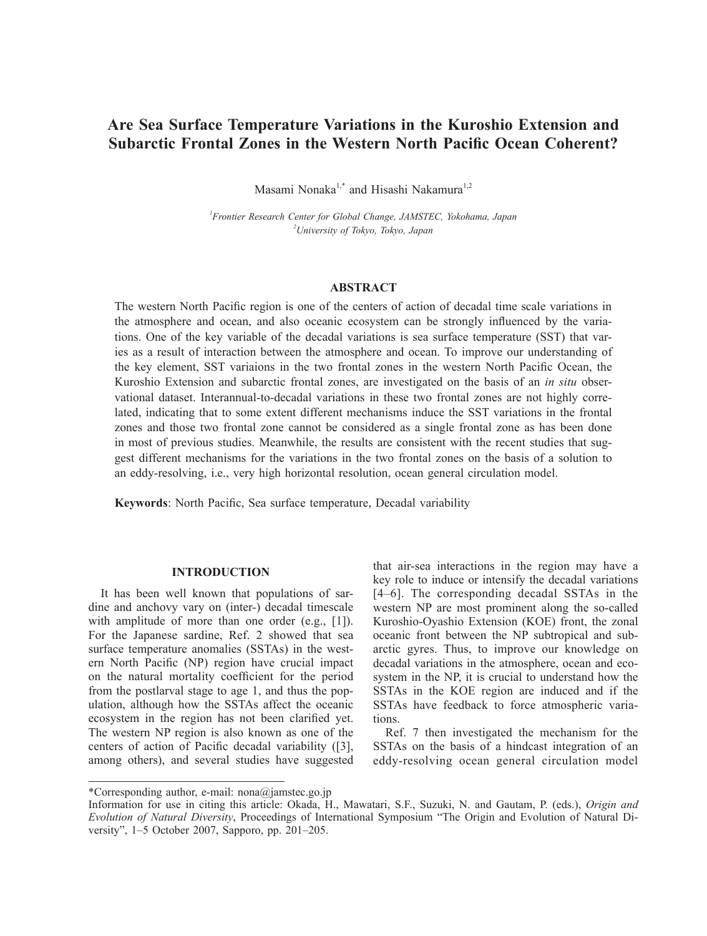# **Are Sea Surface Temperature Variations in the Kuroshio Extension and Subarctic Frontal Zones in the Western North Pacific Ocean Coherent?**

Masami Nonaka<sup>1,\*</sup> and Hisashi Nakamura<sup>1,2</sup>

*1 Frontier Research Center for Global Change, JAMSTEC, Yokohama, Japan 2 University of Tokyo, Tokyo, Japan*

# **ABSTRACT**

The western North Pacific region is one of the centers of action of decadal time scale variations in the atmosphere and ocean, and also oceanic ecosystem can be strongly influenced by the variations. One of the key variable of the decadal variations is sea surface temperature (SST) that varies as a result of interaction between the atmosphere and ocean. To improve our understanding of the key element, SST variaions in the two frontal zones in the western North Pacific Ocean, the Kuroshio Extension and subarctic frontal zones, are investigated on the basis of an *in situ* observational dataset. Interannual-to-decadal variations in these two frontal zones are not highly correlated, indicating that to some extent different mechanisms induce the SST variations in the frontal zones and those two frontal zone cannot be considered as a single frontal zone as has been done in most of previous studies. Meanwhile, the results are consistent with the recent studies that suggest different mechanisms for the variations in the two frontal zones on the basis of a solution to an eddy-resolving, i.e., very high horizontal resolution, ocean general circulation model.

**Keywords**: North Pacific, Sea surface temperature, Decadal variability

## **INTRODUCTION**

It has been well known that populations of sardine and anchovy vary on (inter-) decadal timescale with amplitude of more than one order (e.g., [1]). For the Japanese sardine, Ref. 2 showed that sea surface temperature anomalies (SSTAs) in the western North Pacific (NP) region have crucial impact on the natural mortality coefficient for the period from the postlarval stage to age 1, and thus the population, although how the SSTAs affect the oceanic ecosystem in the region has not been clarified yet. The western NP region is also known as one of the centers of action of Pacific decadal variability ([3], among others), and several studies have suggested

that air-sea interactions in the region may have a key role to induce or intensify the decadal variations [4–6]. The corresponding decadal SSTAs in the western NP are most prominent along the so-called Kuroshio-Oyashio Extension (KOE) front, the zonal oceanic front between the NP subtropical and subarctic gyres. Thus, to improve our knowledge on decadal variations in the atmosphere, ocean and ecosystem in the NP, it is crucial to understand how the SSTAs in the KOE region are induced and if the SSTAs have feedback to force atmospheric variations.

Ref. 7 then investigated the mechanism for the SSTAs on the basis of a hindcast integration of an eddy-resolving ocean general circulation model

<sup>\*</sup>Corresponding author, e-mail: nona@jamstec.go.jp

Information for use in citing this article: Okada, H., Mawatari, S.F., Suzuki, N. and Gautam, P. (eds.), *Origin and Evolution of Natural Diversity*, Proceedings of International Symposium "The Origin and Evolution of Natural Diversity", 1–5 October 2007, Sapporo, pp. 201–205.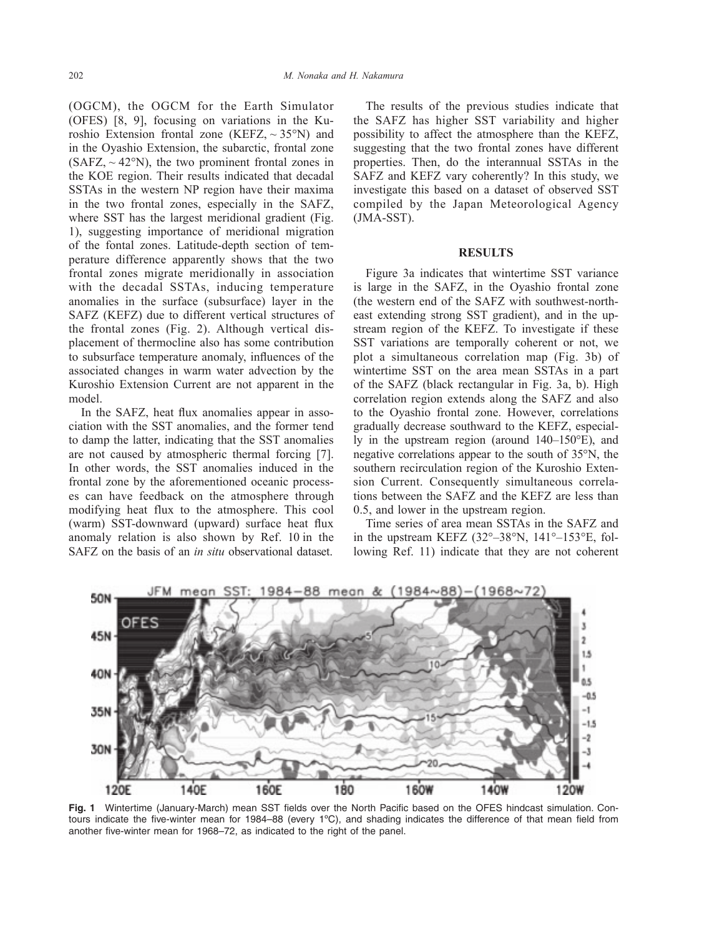(OGCM), the OGCM for the Earth Simulator (OFES) [8, 9], focusing on variations in the Kuroshio Extension frontal zone (KEFZ,  $\sim$  35°N) and in the Oyashio Extension, the subarctic, frontal zone  $(SAFZ_{,} \sim 42^{\circ}N)$ , the two prominent frontal zones in the KOE region. Their results indicated that decadal SSTAs in the western NP region have their maxima in the two frontal zones, especially in the SAFZ, where SST has the largest meridional gradient (Fig. 1), suggesting importance of meridional migration of the fontal zones. Latitude-depth section of temperature difference apparently shows that the two frontal zones migrate meridionally in association with the decadal SSTAs, inducing temperature anomalies in the surface (subsurface) layer in the SAFZ (KEFZ) due to different vertical structures of the frontal zones (Fig. 2). Although vertical displacement of thermocline also has some contribution to subsurface temperature anomaly, influences of the associated changes in warm water advection by the Kuroshio Extension Current are not apparent in the model.

In the SAFZ, heat flux anomalies appear in association with the SST anomalies, and the former tend to damp the latter, indicating that the SST anomalies are not caused by atmospheric thermal forcing [7]. In other words, the SST anomalies induced in the frontal zone by the aforementioned oceanic processes can have feedback on the atmosphere through modifying heat flux to the atmosphere. This cool (warm) SST-downward (upward) surface heat flux anomaly relation is also shown by Ref. 10 in the SAFZ on the basis of an *in situ* observational dataset.

The results of the previous studies indicate that the SAFZ has higher SST variability and higher possibility to affect the atmosphere than the KEFZ, suggesting that the two frontal zones have different properties. Then, do the interannual SSTAs in the SAFZ and KEFZ vary coherently? In this study, we investigate this based on a dataset of observed SST compiled by the Japan Meteorological Agency (JMA-SST).

#### **RESULTS**

Figure 3a indicates that wintertime SST variance is large in the SAFZ, in the Oyashio frontal zone (the western end of the SAFZ with southwest-northeast extending strong SST gradient), and in the upstream region of the KEFZ. To investigate if these SST variations are temporally coherent or not, we plot a simultaneous correlation map (Fig. 3b) of wintertime SST on the area mean SSTAs in a part of the SAFZ (black rectangular in Fig. 3a, b). High correlation region extends along the SAFZ and also to the Oyashio frontal zone. However, correlations gradually decrease southward to the KEFZ, especially in the upstream region (around 140–150°E), and negative correlations appear to the south of 35°N, the southern recirculation region of the Kuroshio Extension Current. Consequently simultaneous correlations between the SAFZ and the KEFZ are less than 0.5, and lower in the upstream region.

Time series of area mean SSTAs in the SAFZ and in the upstream KEFZ (32°–38°N, 141°–153°E, following Ref. 11) indicate that they are not coherent



**Fig. 1** Wintertime (January-March) mean SST fields over the North Pacific based on the OFES hindcast simulation. Contours indicate the five-winter mean for 1984–88 (every 1ºC), and shading indicates the difference of that mean field from another five-winter mean for 1968–72, as indicated to the right of the panel.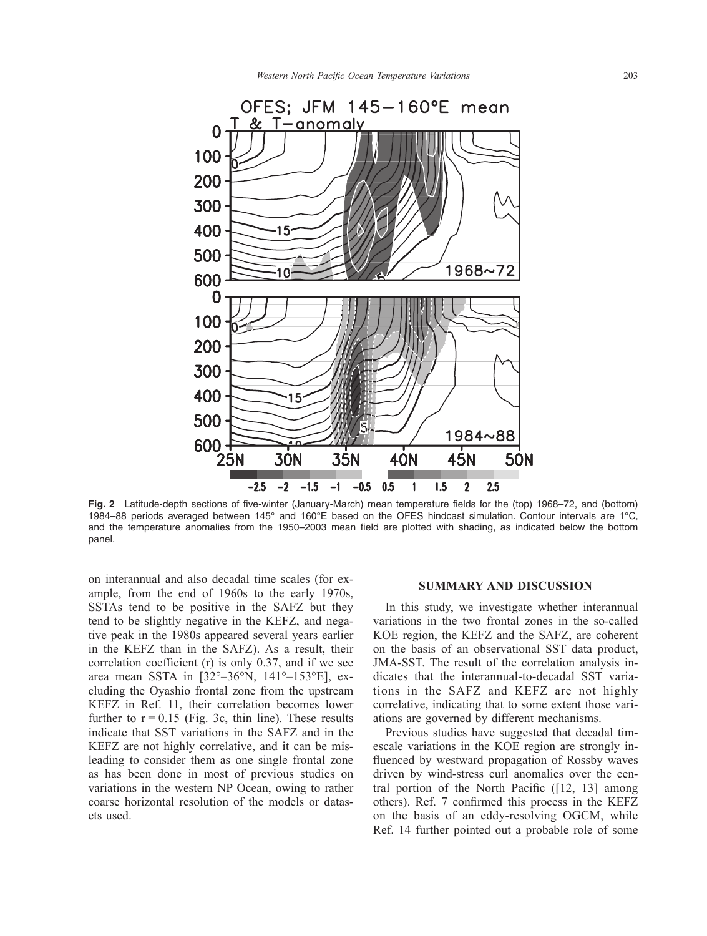

**Fig. 2** Latitude-depth sections of five-winter (January-March) mean temperature fields for the (top) 1968–72, and (bottom) 1984–88 periods averaged between 145° and 160°E based on the OFES hindcast simulation. Contour intervals are 1°C, and the temperature anomalies from the 1950–2003 mean field are plotted with shading, as indicated below the bottom panel.

on interannual and also decadal time scales (for example, from the end of 1960s to the early 1970s, SSTAs tend to be positive in the SAFZ but they tend to be slightly negative in the KEFZ, and negative peak in the 1980s appeared several years earlier in the KEFZ than in the SAFZ). As a result, their correlation coefficient (r) is only 0.37, and if we see area mean SSTA in [32°–36°N, 141°–153°E], excluding the Oyashio frontal zone from the upstream KEFZ in Ref. 11, their correlation becomes lower further to  $r = 0.15$  (Fig. 3c, thin line). These results indicate that SST variations in the SAFZ and in the KEFZ are not highly correlative, and it can be misleading to consider them as one single frontal zone as has been done in most of previous studies on variations in the western NP Ocean, owing to rather coarse horizontal resolution of the models or datasets used.

#### **SUMMARY AND DISCUSSION**

In this study, we investigate whether interannual variations in the two frontal zones in the so-called KOE region, the KEFZ and the SAFZ, are coherent on the basis of an observational SST data product, JMA-SST. The result of the correlation analysis indicates that the interannual-to-decadal SST variations in the SAFZ and KEFZ are not highly correlative, indicating that to some extent those variations are governed by different mechanisms.

Previous studies have suggested that decadal timescale variations in the KOE region are strongly influenced by westward propagation of Rossby waves driven by wind-stress curl anomalies over the central portion of the North Pacific ([12, 13] among others). Ref. 7 confirmed this process in the KEFZ on the basis of an eddy-resolving OGCM, while Ref. 14 further pointed out a probable role of some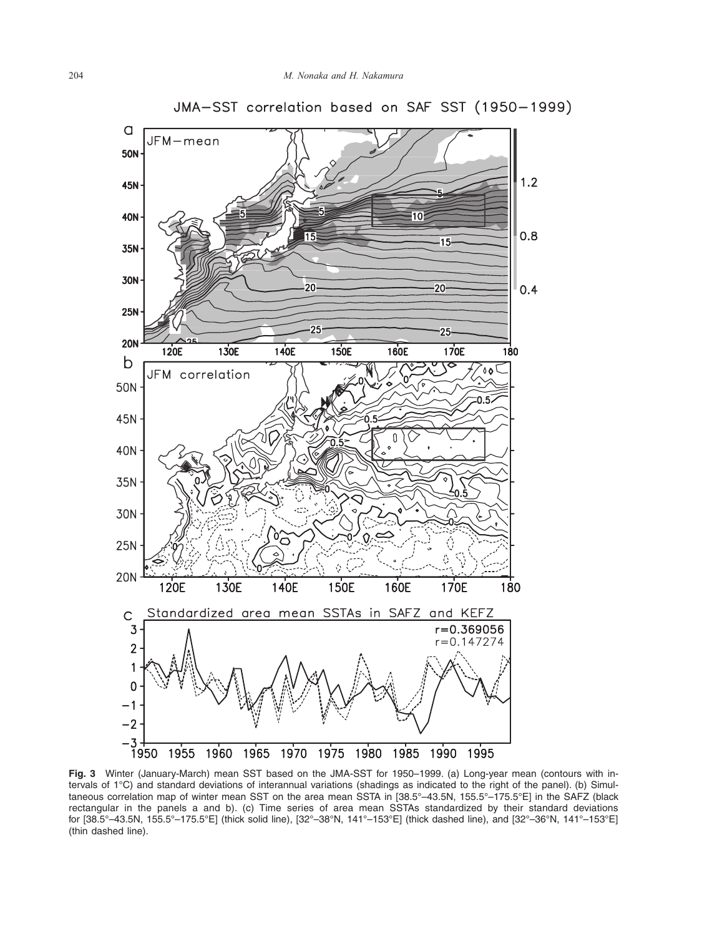

JMA-SST correlation based on SAF SST (1950-1999)

**Fig. 3** Winter (January-March) mean SST based on the JMA-SST for 1950–1999. (a) Long-year mean (contours with intervals of 1°C) and standard deviations of interannual variations (shadings as indicated to the right of the panel). (b) Simultaneous correlation map of winter mean SST on the area mean SSTA in [38.5°–43.5N, 155.5°–175.5°E] in the SAFZ (black rectangular in the panels a and b). (c) Time series of area mean SSTAs standardized by their standard deviations for [38.5°–43.5N, 155.5°–175.5°E] (thick solid line), [32°–38°N, 141°–153°E] (thick dashed line), and [32°–36°N, 141°–153°E] (thin dashed line).